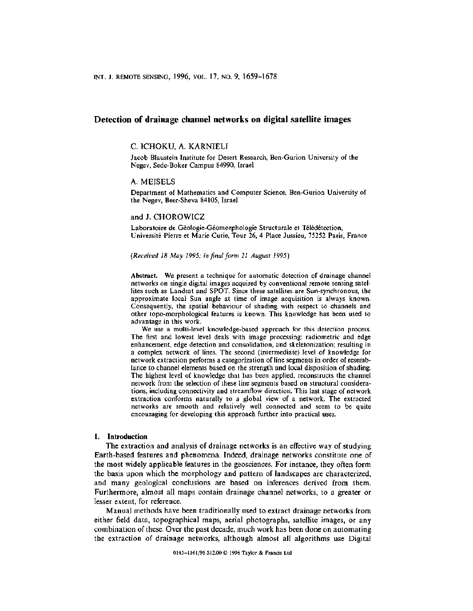# **Detection of drainage channel networks on digital satellite images**

## C. TCHOKU, A. KARNIELI

Jacob Blaustein Institute for Desert Research, Ben-Gurion University of the Negev, Sede-Boker Campus 84990, Israel

#### A. MEISELS

Department of Mathematics and Computer Science, Ben-Gurion University of the Negev, Beer-Sheva 84105, Israel

### and J. CHOROWICZ

Laboratoire de Géologie-Géomorphologie Structurale et Télédétection, Universite Pierre et Marie Curie, Tour 26, 4 Place Jussieu, 75252 Paris, France

*(Received* 18 *May* 1995; *in final jorm* 21 *August 1995)*

Abstract. We present a technique for automatic detection of drainage channel networks on single digital images acquired by conventional remote sensing satellites such as Landsat and SPOT. Since these satellites are Sun-synchronous, the approximate local Sun angle at time of image acquisition is always known. Consequently, the spatial behaviour of shading with respect to channels and other topo-morphological features is known. This knowledge has been used to advantage in this work.

We use a multi-level knowledge-based approach for this detection process. The first and lowest level deals with image processing: radiometric and edge enhancement, edge detection and consolidation, and skeletonization; resulting in a complex network of lines. The second (intermediate) level of knowledge for network extraction performs a categorization of line segments in order of resemblance to channel elements based on the strength and local disposition of shading. The highest level of knowledge that has been applied, reconstructs the channel network from the selection of these line segments based on structural considerations, including connectivity and streamflow direction. This last stage of network extraction conforms naturally to a global view of a network. The extracted networks are smooth and relatively well connected and seem to be quite encouraging for developing this approach further into practical uses.

## **1. Introduction**

The extraction and analysis of drainage networks is an effective way of studying Earth-based features and phenomena. Indeed, drainage networks constitute one of the most widely applicable features in the geosciences. For instance, they often form the basis upon which the morphology and pattern of landscapes are characterized, and many geological conclusions are based on inferences derived from them. Furthermore, almost all maps contain drainage channel networks, to a greater or lesser extent, for reference.

Manual methods have been traditionally used to extract drainage networks from either field data, topographical maps, aerial photographs, satellite images, or any combination of these. Over the past decade, much work has been done on automating the extraction of drainage networks, although almost all algorithms use Digital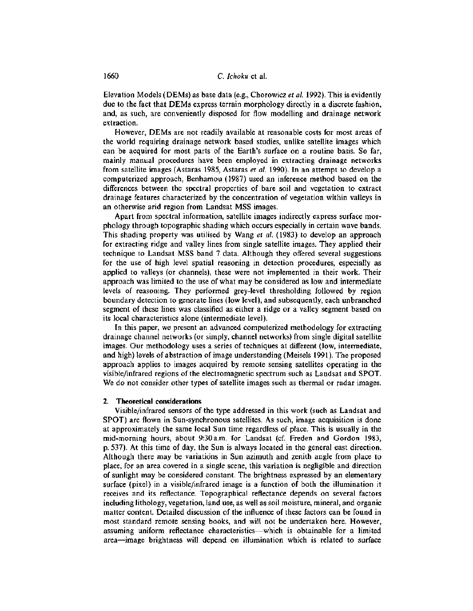Elevation Models (OEMs) as base data (e.g.,Chorowicz *et al.* 1992). This is evidently due to the fact that OEMs express terrain morphology directly in a discrete fashion, and, as such, are conveniently disposed for flow modelling and drainage network extraction.

However, OEMs are not readily available at reasonable costs for most areas of the world requiring drainage network based studies, unlike satellite images which can be acquired for most parts of the Earth's surface on a routine basis. So far, mainly manual procedures have been employed in extracting drainage networks from satellite images (Astaras 1985, Astaras *et al.* 1990). In an attempt to develop a computerized approach, Benhamou (1987) used an inference method based on the differences between the spectral properties of bare soil and vegetation to extract drainage features characterized by the concentration of vegetation within valleys in an otherwise arid region from Landsat MSS images.

Apart from spectral information, satellite images indirectly express surface morphology through topographic shading which occurs especially in certain wave bands. This shading property was utilised by Wang *et al.* (1983) to develop an approach for extracting ridge and valley lines from single satellite images. They applied their technique to Landsat MSS band 7 data. Although they offered several suggestions for the use of high level spatial reasoning in detection procedures, especially as applied to valleys (or channels), these were not implemented in their work. Their approach was limited to the use of what may be considered as low and intermediate levels of reasoning. They performed grey-level thresholding followed by region boundary detection to generate lines (low level), and subsequently, each unbranched segment of these lines was classified as either a ridge or a valley segment based on its local characteristics alone (intermediate level).

In this paper, we present an advanced computerized methodology for extracting drainage channel networks (or simply, channel networks) from single digital satellite images. Our methodology uses a series of techniques at different (low, intermediate, and high) levels of abstraction of image understanding (Meisels 1991). The proposed approach applies to images acquired by remote sensing satellites operating in the visible/infrared regions of the electromagnetic spectrum such as Landsat and SPOT. We do not consider other types of satellite images such as thermal or radar images.

#### 2. Theoretical considerations

Visible/infrared sensors of the type addressed in this work (such as Landsat and SPOT) are flown in Sun-synchronous satellites. As such, image acquisition is done at approximately the same local Sun time regardless of place. This is usually in the mid-morning hours, about 9:30 a.m. for Landsat (cf. Freden and Gordon 1983, p. 537). At this time of day, the Sun is always located in the general east direction. Although there may be variations in Sun azimuth and zenith angle from place to place, for an area covered in a single scene, this variation is negligible and direction of sunlight may be considered constant. The brightness expressed by an elementary surface (pixel) in a visible/infrared image is a function of both the illumination it receives and its reflectance. Topographical reflectance depends on several factors including lithology, vegetation, land use, as well as soil moisture, mineral, and organic matter content. Detailed discussion of the influence of these factors can be found in most standard remote sensing books, and will not be undertaken here. However, assuming uniform reflectance characteristics-which is obtainable for a limited area-image brightness will depend on illumination which is related to surface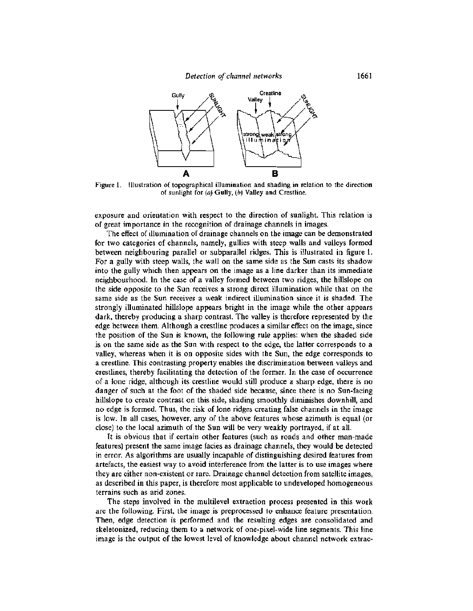

Figure L Illustration of topographical illumination and shading in relation to the direction of sunlight for  $(a)$  Gully,  $(b)$  Valley and Crestline.

exposure and orientation with respect to the direction of sunlight. This relation is of great importance in the recognition of drainage channels in images.

The effect of illumination of drainage channels on the image can be demonstrated for two categories of channels, namely, gullies with steep walls and valleys formed between neighbouring parallel or subparallel ridges. This is illustrated in figure 1. For a gully with steep walls, the wall on the same side as the Sun casts its shadow into the gully which then appears on the image as a line darker than its immediate neighbourhood. In the case of a valley formed between two ridges, the hillslope on the side opposite to the Sun receives a strong direct illumination while that on the same side as the Sun receives a weak indirect illumination since it is shaded. The strongly illuminated hillslope appears bright in the image while the other appears dark, thereby producing a sharp contrast. The valley is therefore represented by the edge between them. Although a crestline produces a similar effect on the image, since the position of the Sun is known, the following rule applies: when the shaded side is on the same side as the Sun with respect to the edge, the latter corresponds to a valley, whereas when it is on opposite sides with the Sun, the edge corresponds to a crestline. This contrasting property enables the discrimination between valleys and crestlines, thereby facilitating the detection of the former. In the case of occurrence of a lone ridge, although its crestline would still produce a sharp edge, there is no danger of such at the foot of the shaded side because, since there is no Sun-facing hillslope to create contrast on this side, shading smoothly diminishes downhill, and no edge is formed. Thus, the risk of lone ridges creating false channels in the image is low. In all cases, however, any of the above features whose azimuth is equal (or close) to the local azimuth of the Sun will be very weakly portrayed, if at all.

**It** is obvious that if certain other features (such as roads and other man-made features) present the same image facies as drainage channels, they would be detected in error. As algorithms are usually incapable of distinguishing desired features from artefacts, the easiest way to avoid interference from the latter is to use images where they are either non-existent or rare. Drainage channel detection from satellite images, as described in this paper, is therefore most applicable to undeveloped homogeneous terrains such as arid zones.

The steps involved in the multilevel extraction process presented in this work are the following. First, the image is preprocessed to enhance feature presentation. Then, edge detection is performed and the resulting edges are consolidated and skeletonized, reducing them to a network of one-pixel-wide line segments. This line image is the output of the lowest level of knowledge about channel network extrac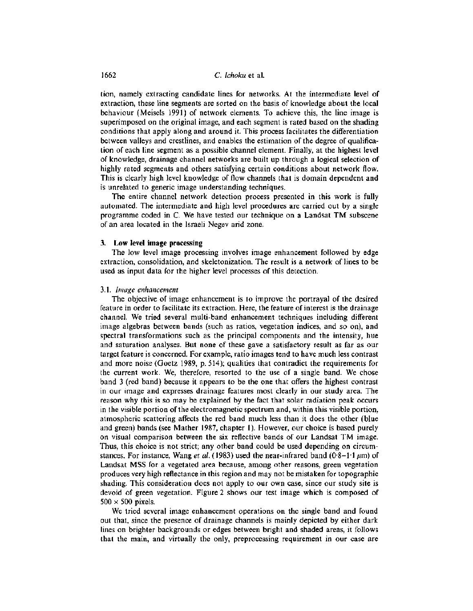tion, namely extracting candidate lines for networks. At the intermediate level of extraction, these line segments are sorted on the basis of knowledge about the local behaviour (Meisels 1991) of network elements. To achieve this, the line image is superimposed on the original image, and each segment is rated based on the shading conditions that apply along and around it. This process facilitates the differentiation between valleys and crestlines, and enables the estimation of the degree of qualification of each line segment as a possible channel element. Finally, at the highest level of knowledge, drainage channel networks are built up through a logical selection of highly rated segments and others satisfying certain conditions about network flow. This is clearly high level knowledge of flow channels that is domain dependent and is unrelated to generic image understanding techniques.

The entire channel network detection process presented in this work is fully automated. The intermediate and high level procedures are carried out by a single programme coded in C. We have tested our technique on a Landsat TM subscene of an area located in the Israeli Negev arid zone.

## 3. **Low level image processing**

The low level image processing involves image enhancement followed by edge extraction, consolidation, and skeletonization. The result is a network of lines to be used as input data for the higher level processes of this detection.

### *3.1. lmage enhancement*

The objective of image enhancement is to improve the portrayal of the desired feature in order to facilitate its extraction. Here, the feature of interest is the drainage channel. We tried several multi-band enhancement techniques including different image algebras between bands (such as ratios, vegetation indices, and so on), and spectral transformations such as the principal components and the intensity, hue and saturation analyses. But none of these gave a satisfactory result as far as our target feature is concerned. For example, ratio images tend to have much less contrast and more noise (Goetz 1989, p. 514); qualities that contradict the requirements for the current work. We, therefore, resorted to the use of a single band. We chose band 3 (red band) because it appears to be the one that offers the highest contrast in our image and expresses drainage features most clearly in our study area. The reason why this is so may be explained by the fact that solar radiation peak occurs in the visible portion of the electromagnetic spectrum and, within this visible portion, atmospheric scattering affects the red band much less than it does the other (blue and green) bands (see Mather 1987, chapter 1). However, our choice is based purely on visual comparison between the six reflective bands of our Landsat TM image. Thus, this choice is not strict; any other band could be used depending on circumstances. For instance, Wang *et al.* (1983) used the near-infrared band (0.8–1.1  $\mu$ m) of Landsat MSS for a vegetated area because, among other reasons, green vegetation produces very high reflectance in this region and may not be mistaken for topographic shading. This consideration does not apply to our own case, since our study site is devoid of green vegetation. Figure 2 shows our test image which is composed of  $500 \times 500$  pixels.

We tried several image enhancement operations on the single band and found out that, since the presence of drainage channels is mainly depicted by either dark lines on brighter backgrounds or edges between bright and shaded areas, it follows that the main, and virtually the only, preprocessing requirement in our case are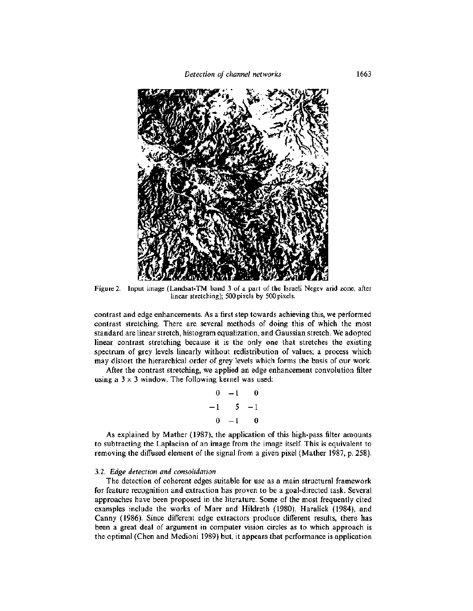

Figure 2. Input image (Landsat-TM band 3 of a part of the Israeli Negev arid zone, after linear stretching); 500 pixels by 500 pixels.

contrast and edge enhancements. As a first step towards achieving this, we performed contrast stretching. There are several methods of doing this of which the most standard are linear stretch, histogram equalization, and Gaussian stretch. We adopted linear contrast stretching because it is the only one that stretches the existing spectrum of grey levels linearly without redistribution of values; a process which may distort the hierarchical order of grey levels which forms the basis of our work.

After the contrast stretching, we applied an edge enhancement convolution filter using a  $3 \times 3$  window. The following kernel was used:

$$
\begin{array}{cccc}\n0 & -1 & 0 \\
-1 & 5 & -1 \\
0 & -1 & 0\n\end{array}
$$

As explained by Mather (1987), the application of this high-pass filter amounts to subtracting the Laplacian of an image from the image itself. This is equivalent to removing the diffused element of the signal from a given pixel (Mather 1987, p. 258).

## *3.2. Edge detection and consolidation*

The detection of coherent edges suitable for use as a main structural framework for feature recognition and extraction has proven to be a goal-directed task. Several approaches have been proposed in the literature. Some of the most frequently cited examples include the works of Marr and Hildreth (1980), Haralick (1984), and Canny (1986). Since different edge extractors produce different results, there has been a great deal of argument in computer vision circles as to which approach is the optimal (Chen and Medioni 1989) but, it appears that performance is application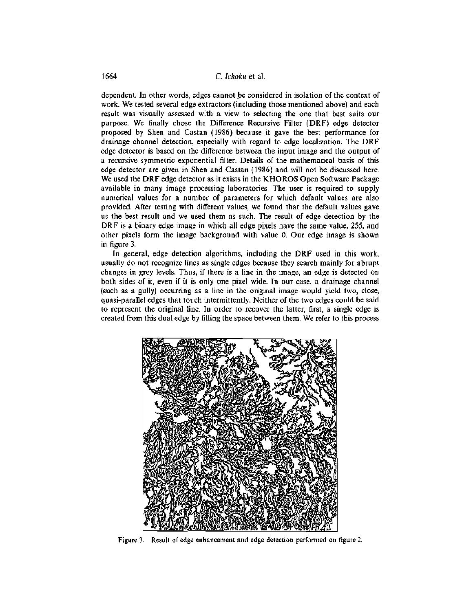dependent. In other words, edges cannot be considered in isolation of the context of work. We tested several edge extractors (including those mentioned above) and each result was visually assessed with a view to selecting the one that best suits our purpose. We finally chose the Difference Recursive Filter (DRF) edge detector proposed by Shen and Castan (1986) because it gave the best performance for drainage channel detection, especially with regard to edge localization. The DRF edge detector is based on the difference between the input image and the output of a recursive symmetric exponential filter. Details of the mathematical basis of this edge detector are given in Shen and Castan (1986) and will not be discussed here. We used the DRF edge detector as it exists in the KHOROS Open Software Package available in many image processing laboratories. The user is required to supply numerical values for a number of parameters for which default values are also provided. After testing with different values, we found that the default values gave us the best result and we used them as such. The result of edge detection by the DRF is a binary edge image in which all edge pixels have the same value, 255, and other pixels form the image background with value O. Our edge image is shown in figure 3.

In general, edge detection algorithms, including the DRF used in this work, usually do not recognize lines as single edges because they search mainly for abrupt changes in grey levels. Thus, if there is a line in the image, an edge is detected on both sides of it, even if it is only one pixel wide. In our case, a drainage channel (such as a gully) occurring as a line in the original image would yield two, close, quasi-parallel edges that touch intermittently. Neither of the two edges could be said to represent the original line. In order to recover the latter, first, a single edge is created from this dual edge by filling the space between them. We refer to this process



Figure 3. Result of edge enhancement and edge detection performed on figure 2.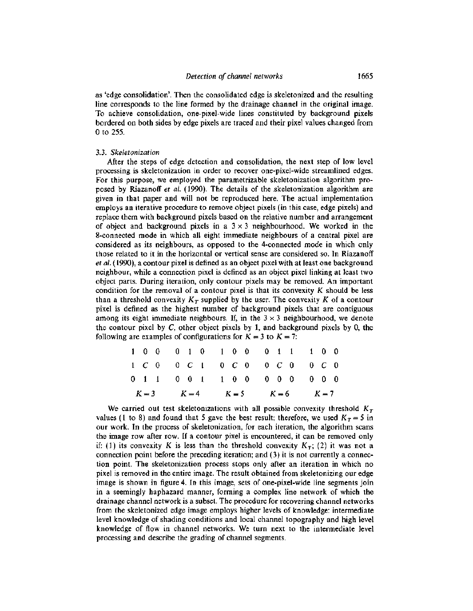as 'edge consolidation'. Then the consolidated edge is skeletonized and the resulting line corresponds to the line formed by the drainage channel in the original image. To achieve consolidation, one-pixel-wide lines constituted by background pixels bordered on both sides by edge pixels are traced and their pixel values changed from 0 to 255.

#### *3.3. Skeletonization*

After the steps of edge detection and consolidation, the next step of low level processing is skeletonization in order to recover one-pixel-wide streamlined edges. For this purpose, we employed the parametrizable skeletonization algorithm proposed by Riazanoff *et al.* (1990). The details of the .skeletonization algorithm are given in that paper and will not be reproduced here. The actual implementation employs an iterative procedure to remove object pixels (in this case, edge pixels) and replace them with background pixels based on the relative number and arrangement of object and background pixels in a  $3 \times 3$  neighbourhood. We worked in the 8-connected mode in which all eight immediate neighbours of a central pixel are considered as its neighbours, as opposed to the 4-connected mode in which only those related to it in the horizontal or vertical sense are considered so. In Riazanoff *et al.* (1990), a contour pixel is defined as an object pixel with at least one background neighbour, while a connection pixel is defined as an object pixel linking at least two object parts. During iteration, only contour pixels may be removed. An important condition for the removal of a contour pixel is that its convexity  $K$  should be less than a threshold convexity  $K_T$  supplied by the user. The convexity K of a contour pixel is defined as the highest number of background pixels that are contiguous among its eight immediate neighbours. If, in the  $3 \times 3$  neighbourhood, we denote the contour pixel by  $C$ , other object pixels by 1, and background pixels by 0, the following are examples of configurations for  $K = 3$  to  $K = 7$ :

|  |  |  |                                 |  |  |  | $K = 3$ $K = 4$ $K = 5$ $K = 6$ $K = 7$ |  |  |  |  |  |  |  |  |
|--|--|--|---------------------------------|--|--|--|-----------------------------------------|--|--|--|--|--|--|--|--|
|  |  |  | 0 1 1 0 0 1 1 0 0 0 0 0 0 0 0 0 |  |  |  |                                         |  |  |  |  |  |  |  |  |
|  |  |  | 1 C 0 0 C 1 0 C 0 0 C 0 0 C 0   |  |  |  |                                         |  |  |  |  |  |  |  |  |
|  |  |  | 1 0 0 0 1 0 1 0 0 0 1 1 1 0 0   |  |  |  |                                         |  |  |  |  |  |  |  |  |

We carried out test skeletonizations with all possible convexity threshold  $K<sub>T</sub>$ values (1 to 8) and found that 5 gave the best result; therefore, we used  $K_T = 5$  in our work. In the process of skeletonization, for each iteration, the algorithm scans the image row after row. If a contour pixel is encountered, it can be removed only if: (1) its convexity K is less than the threshold convexity  $K_T$ ; (2) it was not a connection point before the preceding iteration; and (3) it is not currently a connection point. The skeletonization process stops only after an iteration in which no pixel is removed in the entire image. The result obtained from skeletonizing our edge image is shown in figure 4. In this image, sets of one-pixel-wide line segments join in a seemingly haphazard manner, forming a complex line network of which the drainage channel network is a subset. The procedure for recovering channel networks from the skeletonized edge image employs higher levels of knowledge: intermediate level knowledge of shading conditions and local channel topography and high level knowledge of flow in channel networks. We turn next to the intermediate level processing and describe the grading of channel segments.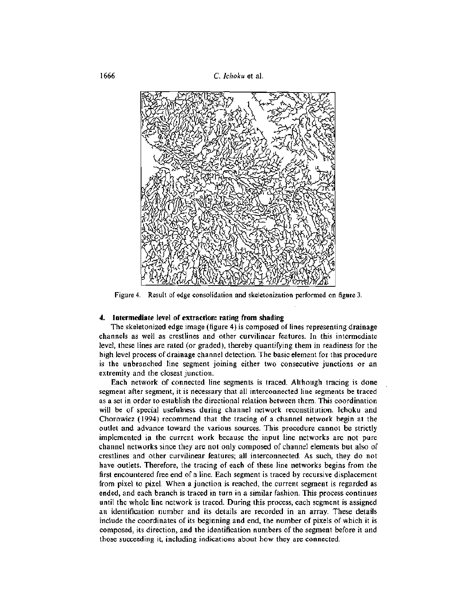1666 C. *Ichoku* et al.



Figure 4. Result of edge consolidation and skeletonization performed on figure 3.

## **4. Intermediate level of extraction: rating from shading**

The skeletonized edge image (figure 4) is composed of lines representing drainage channels as well as crestlines and other curvilinear features. **In** this intermediate level, these lines are rated (or graded), thereby quantifying them in readiness for the high level process of drainage channel detection. The basic element for this procedure is the unbranched line segment joining either two consecutive junctions or an extremity and the closest junction.

Each network of connected line segments is traced. Although tracing is done segment after segment, it is necessary that all interconnected line segments be traced as a set in order to establish the directional relation between them. This coordination will be of special usefulness during channel network reconstitution. Ichoku and Chorowicz (1994) recommend that the tracing of a channel network begin at the outlet and advance toward the various sources. This procedure cannot be strictly implemented in the current work because the input line networks are not pure channel networks since they are not only composed of channel elements but also of crestlines and other curvilinear features; all interconnected. As such, they do not have outlets. Therefore, the tracing of each of these line networks begins from the first encountered free end of a line. Each segment is traced by recursive displacement from pixel to pixel. When a junction is reached, the current segment is regarded as ended, and each branch is traced in turn in a similar fashion. This process continues until the whole line network is traced. During this process, each segment is assigned an identification number and its details are recorded in an array. These details include the coordinates of its beginning and end, the number of pixels of which it is composed, its direction, and the identification numbers of the segment before it and those succeeding it, including indications about how they are connected.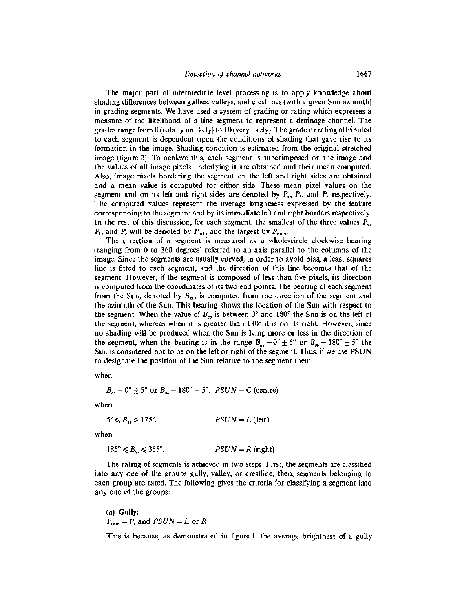The major part of intermediate level processing is to apply knowledge about shading differences between gullies, valleys, and crestlines (with a given Sun azimuth) in grading segments. We have used a system of grading or rating which expresses a measure of the likelihood of a line segment to represent a drainage channel. The grades range from 0 (totally unlikely) to 10(very likely). The grade or rating attributed to each segment is dependent upon the conditions of shading that gave rise to its formation in the image. Shading condition is estimated from the original stretched image (figure 2). To achieve this, each segment is superimposed on the image and the values of all image pixels underlying it are obtained and their mean computed. Also, image pixels bordering the segment on the left and right sides are obtained and a mean value is computed for either side. These mean pixel values on the segment and on its left and right sides are denoted by  $P_x$ ,  $P_y$ , and  $P_y$ , respectively. The computed values represent the average brightness expressed by the feature corresponding to the segment and by its immediate left and right borders respectively. In the rest of this discussion, for each segment, the smallest of the three values  $P_{\rm{ex}}$ ,  $P_l$ , and *P*, will be denoted by  $P_{\text{min}}$  and the largest by  $P_{\text{max}}$ .

The direction of a segment is measured as a whole-circle clockwise bearing (ranging from 0 to 360 degrees) referred to an axis parallel to the columns of the image. Since the segments are usually curved, in order to avoid bias, a least squares line is fitted to each segment, and the direction of this line becomes that of the segment. However, if the segment is composed of less than five pixels, its direction is computed from the coordinates of its two end points. The bearing of each segment from the Sun, denoted by  $B_{ss}$ , is computed from the direction of the segment and the azimuth of the Sun. This bearing shows the location of the Sun with respect to the segment. When the value of  $B_{ss}$  is between  $0^{\circ}$  and  $180^{\circ}$  the Sun is on the left of the segment, whereas when it is greater than 180° it is on its right. However, since no shading will be produced when the Sun is lying more or less in the direction of the segment, when the bearing is in the range  $B_{ss} = 0^{\circ} \pm 5^{\circ}$  or  $B_{ss} = 180^{\circ} \pm 5^{\circ}$  the Sun is considered not to be on the left or right of the segment. Thus, if we use PSUN to designate the position of the Sun relative to the segment then:

when

$$
B_{ss} = 0^{\circ} \pm 5^{\circ}
$$
 or  $B_{ss} = 180^{\circ} \pm 5^{\circ}$ ,  $PSUN = C$  (centre)

when

$$
5^{\circ} \leq B_{ss} \leq 175^{\circ}, \qquad PSUN = L \text{ (left)}
$$

when

$$
185^{\circ} \leq B_{ss} \leq 355^{\circ}, \qquad \qquad PSDN = R \text{ (right)}
$$

The rating of segments is achieved in two steps. First, the segments are classified into any one of the groups gully, valley, or crestline, then, segments belonging to each group are rated. The following gives the criteria for classifying a segment into anyone of the groups:

(a) **Gully:**  $P_{\min} = P_s$  and  $PSUN = L$  or R

This is because, as demonstrated in figure 1, the average brightness of a gully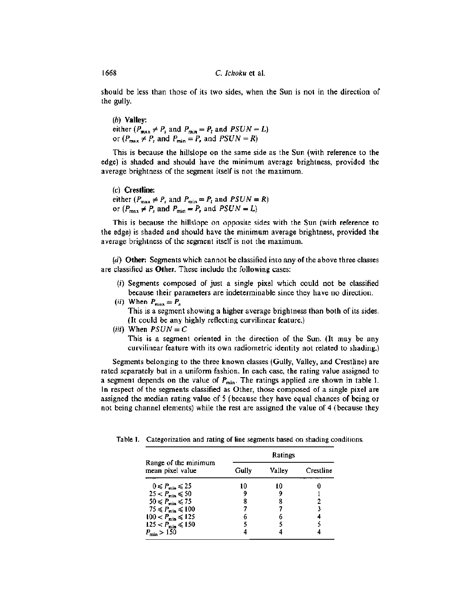should be less than those of its two sides, when the Sun is not in the direction of the gully.

(b) Valley: either  $(P_{max} \neq P_s$  and  $P_{min} = P_t$  and  $PSUN = L$ ) or  $(P_{\text{max}} \neq P_s$  and  $P_{\text{min}} = P_r$ , and  $PSUN = R$ )

This is because the hillslope on the same side as the Sun (with reference to the edge) is shaded and should have the minimum average brightness, provided the average brightness of the segment itself is not the maximum.

(e) Crestline: either ( $P_{\text{max}} \neq P_s$  and  $P_{\text{min}} = P_t$  and  $PSUN = R$ ) or  $(P_{\text{max}} \neq P_s \text{ and } P_{\text{min}} = P_r \text{ and } PSUN = L)$ 

This is because the hillslope on opposite sides with the Sun (with reference to the edge) is shaded and should have the minimum average brightness, provided the average brightness of the segment itself is not the maximum.

(d) Other: Segments which cannot be classified into any of the above three classes are classified as Other. These include the following cases:

- (i) Segments composed of just a single pixel which could not be classified because their parameters are indeterminable since they have no direction.
- (*ii*) When  $P_{\text{max}} = P_s$

This is a segment showing a higher average brightness than both of its sides. (It could be any highly reflecting curvilinear feature.)

(*iii*) When  $PSUN = C$ This is a segment oriented in the direction of the Sun. (It may be any curvilinear feature with its own radiometric identity not related to shading.)

Segments belonging to the three known classes (Gully, Valley, and Crestline) are rated separately but in a uniform fashion. In each case, the rating value assigned to a segment depends on the value of  $P_{\text{min}}$ . The ratings applied are shown in table 1. In respect of the segments classified as Other, those composed of a single pixel are assigned the median rating value of 5 (because they have equal chances of being or not being channel elements) while the rest are assigned the value of 4 (because they

|                                          | Ratings |        |           |  |  |  |  |
|------------------------------------------|---------|--------|-----------|--|--|--|--|
| Range of the minimum<br>mean pixel value | Gullv   | Valley | Crestline |  |  |  |  |
| $0 \leqslant P_{\min} \leqslant 25$      | 10      |        |           |  |  |  |  |
| $25 < P_{\min} \le 50$                   |         |        |           |  |  |  |  |
| $50 \leq P_{\text{min}} \leq 75$         |         |        |           |  |  |  |  |
| $75 \leq P_{\min} \leq 100$              |         |        |           |  |  |  |  |
| $100 < P_{\text{min}} \le 125$           | 6       |        |           |  |  |  |  |
| $125 < P_{\min} \le 150$                 |         |        |           |  |  |  |  |
| $P_{\min} > 150$                         |         |        |           |  |  |  |  |

Table I. Categorization and rating of line segments based on shading conditions.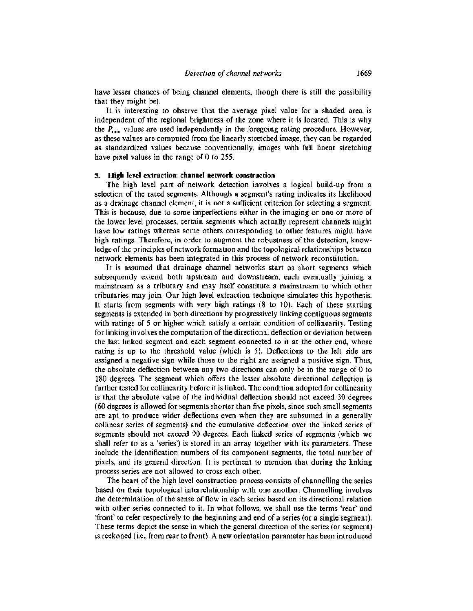have lesser chances of being channel elements, though there is still the possibility that they might be).

It is interesting to observe that the average pixel value for a shaded area is independent of the regional brightness of the zone where it is located. This is why the  $P_{\text{min}}$  values are used independently in the foregoing rating procedure. However, as these values are computed from the linearly stretched image, they can be regarded as standardized values because conventionally, images with full linear stretching have pixel values in the range of 0 to 255.

#### **5. High** level extraction: **channel network construction**

The high level part of network detection involves a logical build-up from a selection of the rated segments. Although a segment's rating indicates its likelihood as a drainage channel element, it is not a sufficient criterion for selecting a segment. This is because, due to some imperfections either in the imaging or one or more of the lower level processes, certain segments which actually represent channels might have low ratings whereas some others corresponding to other features might have high ratings. Therefore, in order to augment the robustness of the detection, knowledge of the principles of network formation and the topological relationships between network elements has been integrated in this process of network reconstitution.

It is assumed that drainage channel networks start as short segments which subsequently extend both upstream and downstream, each eventually joining a mainstream as a tributary and may itself constitute a mainstream to which other tributaries may join. Our high level extraction technique simulates this hypothesis. It starts from segments with very high ratings (8 to 10). Each of these starting segments is extended in both directions by progressively linking contiguous segments with ratings of 5 or higher which satisfy a certain condition of collinearity. Testing for linking involves the computation of the directional deflection or deviation between the last linked segment and each segment connected to it at the other end, whose rating is up to the threshold value (which is 5). Deflections to the left side are assigned a negative sign while those to the right are assigned a positive sign. Thus, the absolute deflection between any two directions can only be in the range of 0 to 180 degrees. The segment which offers the lesser absolute directional deflection is further tested for collinearity before it is linked. The condition adopted for collinearity is that the absolute value of the individual deflection should not exceed 30 degrees (60 degrees is allowed for segments shorter than five pixels, since such small segments are apt to produce wider deflections even when they are subsumed in a generally collinear series of segments) and the cumulative deflection over the linked series of segments should not exceed 90 degrees. Each linked series of segments (which we shall refer to as a 'series') is stored in an array together with its parameters. These include the identification numbers of its component segments, the total number of pixels, and its general direction. It is pertinent to mention that during the linking process series are not allowed to cross each other.

The heart of the high level construction process consists of channelling the series based on their topological interrelationship with one another. Channelling involves the determination of the sense of flow in each series based on its directional relation with other series connected to it. In what follows, we shall use the terms 'rear' and 'front' to refer respectively to the beginning and end of a series (or a single segment). These terms depict the sense in which the general direction of the series (or segment) is reckoned (i.e., from rear to front). A new orientation parameter has been introduced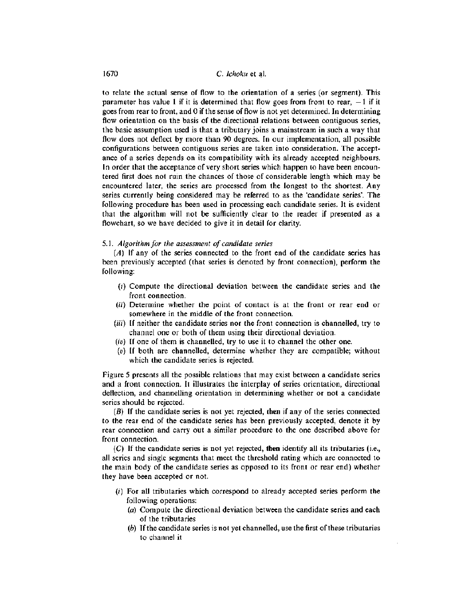to relate the actual sense of flow to the orientation of a series (or segment). This parameter has value 1 if it is determined that flow goes from front to rear,  $-1$  if it goes from rear to front, and 0 if the sense of flow is not yet determined. **In** determining flow orientation on the basis of the directional relations between contiguous series, the basic assumption used is that a tributary joins a mainstream in such a way that flow does not deflect by more than 90 degrees. **In** our implementation, all possible configurations between contiguous series are taken into consideration. The acceptance of a series depends on its compatibility with its already accepted neighbours. **In** order that the acceptance of very short series which happen to have been encountered first does not ruin the chances of those of considerable length which may be encountered later, the series are processed from the longest to the shortest. Any series currently being considered may be referred to as the 'candidate series'. The following procedure has been used in processing each candidate series. It is evident that the algorithm will not be sufficiently clear to the reader if presented as a flowchart, so we have decided to give it in detail for clarity.

## *5.1. Algorithm for the assessment of candidate series*

(A) **If** any of the series connected to the front end of the candidate series has been previously accepted (that series is denoted by front connection), perform the following:

- $(i)$  Compute the directional deviation between the candidate series and the front connection.
- (ii) Determine whether the point of contact is at the front or rear end or somewhere in the middle of the front connection.
- (iii) **If** neither the candidate series nor the front connection is channelled, try to channel one or both of them using their directional deviation.
- *(iv)* **If** one of them is channelled, try to use it to channel the other one.
- (v) **If** both are channelled, determine whether they are compatible; without which the candidate series is rejected.

Figure 5 presents all the possible relations that may exist between a candidate series and a front connection. It illustrates the interplay of series orientation, directional deflection, and channelling orientation in determining whether or not a candidate series should be rejected.

(B) If the candidate series is not yet rejected, then if any of the series connected to the rear end of the candidate series has been previously accepted, denote it by rear connection and carry out a similar procedure to the one described above for front connection.

(C) If the candidate series is not yet rejected, **then** identify all its tributaries (i.e., all series and single segments that meet the threshold rating which are connected to the main body of the candidate series as opposed to its front or rear end) whether they have been accepted or not.

- (i) For all tributaries which correspond to already accepted series perform the following operations:
	- (a) Compute the directional deviation between the candidate series and each of the tributaries
	- $(b)$  If the candidate series is not yet channelled, use the first of these tributaries to channel it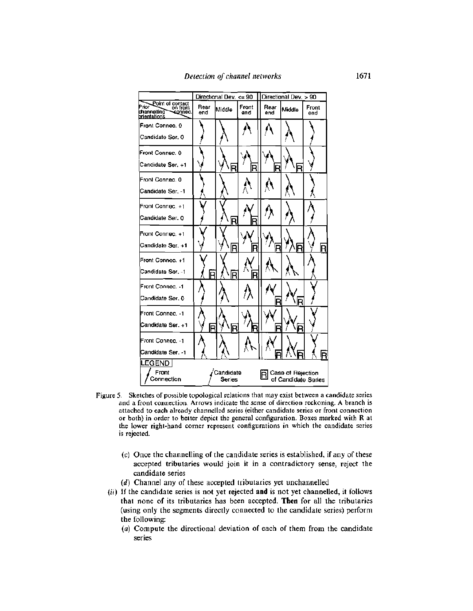|                                                                                 | Directional Dev. <= 90 |                     |              | Directional Dev. > 90 |                                          |              |  |  |
|---------------------------------------------------------------------------------|------------------------|---------------------|--------------|-----------------------|------------------------------------------|--------------|--|--|
| Point of contact<br>Prior<br>on front<br>channelling<br>connec.<br>brientations | Rear<br>end            | Middle              | Front<br>and | Rear<br>end           | Middle                                   | Front<br>end |  |  |
| Front Connec, 0                                                                 |                        |                     |              |                       |                                          |              |  |  |
| Candidate Ser, 0                                                                |                        |                     |              |                       |                                          |              |  |  |
| Front Connec, 0                                                                 |                        |                     |              |                       |                                          |              |  |  |
| Candidate Ser. +1                                                               |                        | R                   |              | R                     | R                                        |              |  |  |
| Front Connec, 0                                                                 |                        |                     |              |                       |                                          |              |  |  |
| Candidate Ser. -1                                                               |                        |                     |              |                       |                                          |              |  |  |
| Front Connec, +1                                                                |                        |                     |              |                       |                                          |              |  |  |
| Candidate Ser. 0                                                                |                        | R                   |              |                       |                                          |              |  |  |
| Front Connec. +1                                                                |                        |                     |              |                       |                                          |              |  |  |
| Candidate Ser. +1                                                               |                        | R                   | ł            | R                     | R                                        | R            |  |  |
| Front Connec. +1                                                                |                        |                     |              |                       |                                          |              |  |  |
| Candidate Ser. - 1                                                              |                        | R                   | Ŗ            |                       |                                          |              |  |  |
| Front Connec. -1                                                                |                        |                     |              |                       |                                          |              |  |  |
| Candidate Ser. 0                                                                |                        |                     |              |                       | R                                        |              |  |  |
| Front Connec. -1                                                                |                        |                     |              |                       |                                          |              |  |  |
| Candidate Ser. +1                                                               | R                      | R                   |              | ₹                     |                                          |              |  |  |
| Front Connec, -1                                                                |                        |                     |              |                       |                                          |              |  |  |
| Candidate Ser. - 1                                                              |                        |                     |              |                       |                                          |              |  |  |
| <b>LEGEND</b>                                                                   |                        |                     |              |                       |                                          |              |  |  |
| Front<br>Connection                                                             |                        | Candidate<br>Series |              |                       | Case of Rejection<br>of Candidate Series |              |  |  |

- Figure 5. Sketches of possible topological relations that may exist between a candidate series and a front connection. Arrows indicate the sense of direction reckoning. A branch is attached to each already channelled series (either candidate series or front connection or both) in order to better depict the general configuration. Boxes marked with R at the lower right-hand corner represent configurations in which the candidate series is rejected.
	- (e) Once the channelling of the candidate series is established, if any of these accepted tributaries would join it in a contradictory sense, reject the candidate series
	- (d) Channel any of these accepted tributaries yet unchannelled
	- (ii) If the candidate series is not yet rejected **and** is not yet channelled, it follows that none of its tributaries has been accepted. **Then** for all the tributaries (using only the segments directly connected to the candidate series) perform the following:
		- (a) Compute the directional deviation of each of them from the candidate series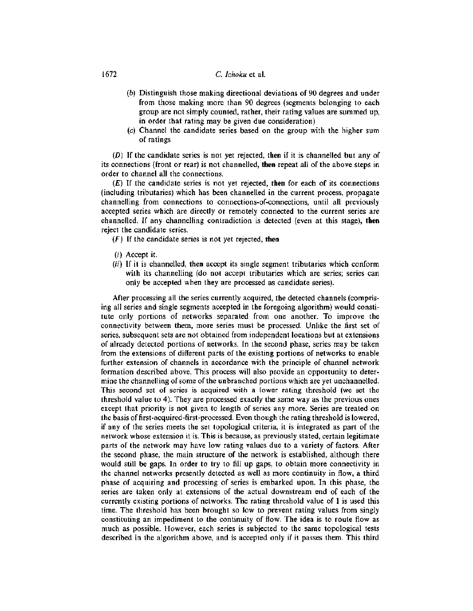## 1672 C. *lehoku* et al.

- (b) Distinguish those making directional deviations of 90 degrees and under from those making more than 90 degrees (segments belonging to each group are not simply counted, rather, their rating values are summed up, in order that rating may be given due consideration)
- (e) Channel the candidate series based on the group with the higher sum of ratings

(D) If the candidate series is not yet rejected, then if it is channelled but any of its connections (front or rear) is not channelled, then repeat all of the above steps in order to channel all the connections.

(E) If the candidate series is not yet rejected, **then** for each of its connections (including tributaries) which has been channelled in the current process, propagate channelling from connections to connections-of-connections, until all previously accepted series which are directly or remotely connected to the current series are channelled. If any channelling contradiction is detected (even at this stage), **then** reject the candidate series.

 $(F)$  If the candidate series is not yet rejected, then

- (i) Accept it.
- (ii) If it is channelled, **then** accept its single segment tributaries which conform with its channelling (do not accept tributaries which are series; series can only be accepted when they are processed as candidate series).

After processing all the series currently acquired, the detected channels (comprising all series and single segments accepted in the foregoing algorithm) would constitute only portions of networks separated from one another. To improve the connectivity between them, more series must be processed. Unlike the first set of series, subsequent sets are not obtained from independent locations but at extensions of already detected portions of networks. In the second phase, series may be taken from the extensions of different parts of the existing portions of networks to enable further extension of channels in accordance with the principle of channel network formation described above. This process will also provide an opportunity to determine the channelling of some of the unbranched portions which are yet unchannelled. This second set of series is acquired with a lower rating threshold (we set the threshold value to 4). They are processed exactly the same way as the previous ones except that priority is not given to length of series any more. Series are treated on the basis of first-acquired-first-processed. Even though the rating threshold is lowered, if any of the series meets the set topological criteria, it is integrated as part of the network whose extension it is. This is because, as previously stated, certain legitimate parts of the network may have low rating values due to a variety of factors. After the second phase, the main structure of the network is established, although there would still be gaps. In order to try to fill up gaps, to obtain more connectivity in the channel networks presently detected as well as more continuity in flow, a third phase of acquiring and processing of series is embarked upon. In this phase, the series are taken only at extensions of the actual downstream end of each of the currently existing portions of networks. The rating threshold value of I is used this time. The threshold has been brought so low to prevent rating values from singly constituting an impediment to the continuity of flow. The idea is to route flow as much as possible. However, each series is subjected to the same topological tests described in the algorithm above, and is accepted only if it passes them. This third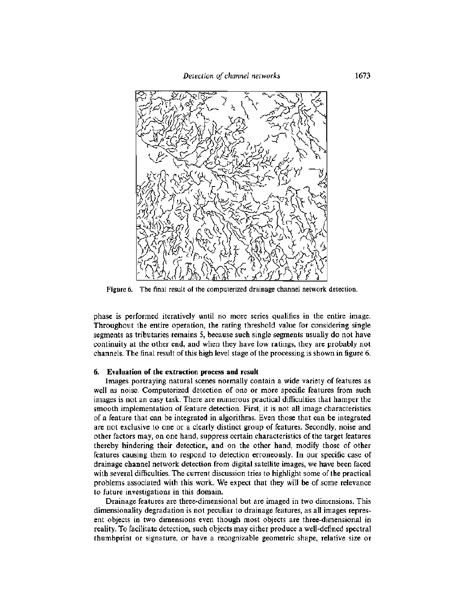*Detection of channel networks* 1673



Figure 6. The final result of the computerized drainage channel network detection.

phase is performed iteratively until no more series qualifies in the entire image. Throughout the entire operation, the rating threshold value for considering single segments as tributaries remains 5, because such single segments usually do not have continuity at the other end, and when they have low ratings, they are probably not channels. The final result of this high level stage of the processing is shown in figure 6.

#### 6. Evaluation of the extraction process and result

Images portraying natural scenes normally contain a wide variety of features as well as noise. Computerized detection of one or more specific features from such images is not an easy task. There are numerous practical difficulties that hamper the smooth implementation of feature detection. First, it is not all image characteristics of a feature that can be integrated in algorithms. Even those that can be integrated are not exclusive to one or a clearly distinct group of features. Secondly, noise and other factors may, on one hand, suppress certain characteristics of the target features thereby hindering their detection, and on the other hand, modify those of other features causing them to respond to detection erroneously. In our specific case of drainage channel network detection from digital satellite images, we have been faced with several difficulties. The current discussion tries to highlight some of the practical problems associated with this work. We expect that they will be of some relevance to future investigations in this domain.

Drainage features are three-dimensional but are imaged in two dimensions. This dimensionality degradation is not peculiar to drainage features, as all images represent objects in two dimensions even though most objects are three-dimensional in reality. To facilitate detection, such objects may either produce a well-defined spectral thumbprint or signature, or have a recognizable geometric shape, relative size or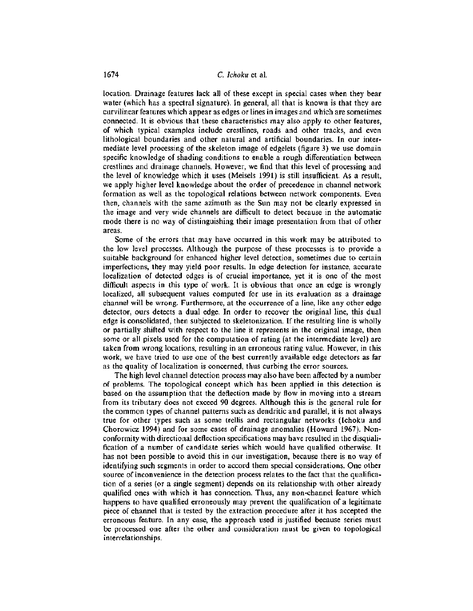location. Drainage features lack all of these except in special cases when they bear water (which has a spectral signature). In general, all that is known is that they are curvilinear features which appear as edges or lines in images and which are sometimes connected. It is obvious that these characteristics may also apply to other features, of which typical examples include crestlines, roads and other tracks, and even lithological boundaries and other natural and artificial boundaries. In our intermediate level processing of the skeleton image of edgelets (figure 3) we use domain specific knowledge of shading conditions to enable a rough differentiation between crestlines and drainage channels. However, we find that this level of processing and the level of knowledge which it uses (Meisels 1991) is still insufficient. As a result, we apply higher level knowledge about the order of precedence in channel network formation as well as the topological relations between network components. Even then, channels with the same azimuth as the Sun may not be clearly expressed in the image and very wide channels are difficult to detect because in the automatic mode there is no way of distinguishing their image presentation from that of other areas.

Some of the errors that may have occurred in this work may be attributed to the low level processes. Although the purpose of these processes is to provide a suitable background for enhanced higher level detection, sometimes due to certain imperfections, they may yield poor results. In edge detection for instance, accurate localization of detected edges is of crucial importance, yet it is one of the most difficult aspects in this type of work. It is obvious that once an edge is wrongly localized, all subsequent values computed for use in its evaluation as a drainage channel will be wrong. Furthermore, at the occurrence of a line, like any other edge detector, ours detects a dual edge. In order to recover the original line, this dual edge is consolidated, then subjected to skeletonization. If the resulting line is wholly or partially shifted with respect to the line it represents in the original image, then some or all pixels used for the computation of rating (at the intermediate level) are taken from wrong locations, resulting in an erroneous rating value. However, in this work, we have tried to use one of the best currently available edge detectors as far as the quality of localization is concerned. thus curbing the error sources.

The high level channel detection process may also have been affected by a number of problems. The topological concept which has been applied in this detection is based on the assumption that the deflection made by flow in moving into a stream from its tributary does not exceed 90 degrees. Although this is the general rule for the common types of channel patterns such as dendritic and parallel, it is not always true for other types such as some trellis and rectangular networks (Ichoku and Chorowicz 1994) and for some cases of drainage anomalies (Howard 1967). Nonconformity with directional deflection specifications may have resulted in the disqualification of a number of candidate series which would have qualified otherwise. It has not been possible to avoid this in our investigation, because there is no way of identifying such segments in order to accord them special considerations. One other source of inconvenience in the detection process relates to the fact that the qualification of a series (or a single segment) depends on its relationship with other already qualified ones with which it has connection. Thus, any non-channel feature which happens to have qualified erroneously may prevent the qualification of a legitimate piece of channel that is tested by the extraction procedure after it has accepted the erroneous feature. In any case, the approach used is justified because series must be processed one after the other and consideration must be given to topological interrelationships.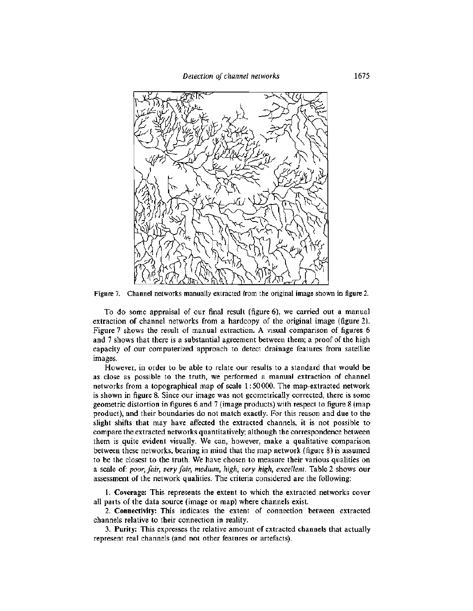*Detection of channel networks* 1675



Figure 7. Channel networks manually extracted from the original image shown in figure 2.

To do some appraisal of our final result (figure 6), we carried out a manual extraction of channel networks from a hardcopy of the original image (figure 2). Figure 7 shows the result of manual extraction. A visual comparison of figures 6 and 7 shows that there is a substantial agreement between them; a proof of the high capacity of our computerized approach to detect drainage features from satellite images.

However, in order to be able to relate our results to a standard that would be as close as possible to the truth, we performed a manual extraction of channel networks from a topographical map of scale 1: 50000. The map-extracted network is shown in figure 8. Since our image was not geometrically corrected, there is some geometric distortion in figures 6 and 7 (image products) with respect to figure 8 (map product), and their boundaries do not match exactly. For this reason and due to the slight shifts that may have affected the extracted channels, it is not possible to compare the extracted networks quantitatively; although the correspondence between them is quite evident visually. We can, however, make a qualitative comparison between these networks, bearing in mind that the map network (figure 8) is assumed to be the closest to the truth. We have chosen to measure their various qualities on a scale of: *poor, fair, very fair, medium, high, very high, excellent.* Table 2 shows our assessment of the network qualities. The criteria considered are the following:

**1. Coverage:** This represents the extent to which the extracted networks cover all parts of the data source (image or map) where channels exist.

2. **Connectivity:** This indicates the extent of connection between extracted channels relative to their connection in reality.

3. **Purity:** This expresses the relative amount of extracted channels that actually represent real channels (and not other features or artefacts).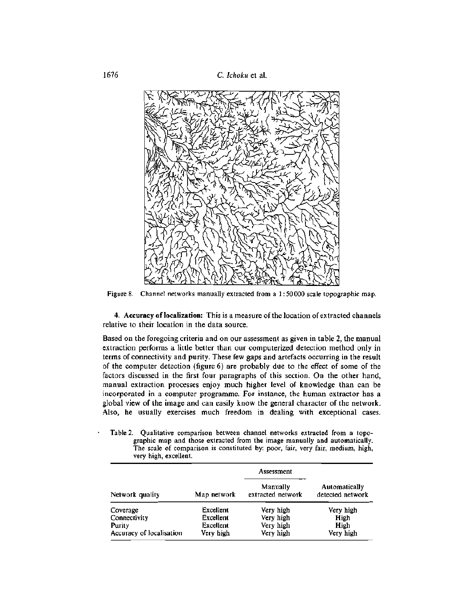1676 C. *lchoku* et al.



Figure 8. Channel networks manually extracted from a 1: 50000 scale topographic map.

4. **Accuracy of localization:** This is a measure of the location of extracted channels relative to their location in the data source.

Based on the foregoing criteria and on our assessment as given in table 2, the manual extraction performs a little better than our computerized detection method only in terms of connectivity and purity. These few gaps and artefacts occurring in the result of the computer detection (figure 6) are probably due to the effect of some of the factors discussed in the first four paragraphs of this section. On the other hand, manual extraction processes enjoy much higher level of knowledge than can be incorporated in a computer programme. For instance, the human extractor has a global view of the image and can easily know the general character of the network. Also, he usually exercises much freedom in dealing with exceptional cases.

Table 2. Qualitative comparison between channel networks extracted from a topographic map and those extracted from the image manually and automatically. The scale of comparison is constituted by: poor, fair, very fair, medium, high, very high, excellent.

|                          |             | Assessment                    |                                   |  |  |
|--------------------------|-------------|-------------------------------|-----------------------------------|--|--|
| Network quality          | Map network | Manually<br>extracted network | Automatically<br>detected network |  |  |
| Coverage                 | Excellent   | Very high                     | Very high                         |  |  |
| Connectivity             | Excellent   | Very high                     | High                              |  |  |
| Purity                   | Excellent   | Very high                     | High                              |  |  |
| Accuracy of localisation | Very high   | Very high                     | Very high                         |  |  |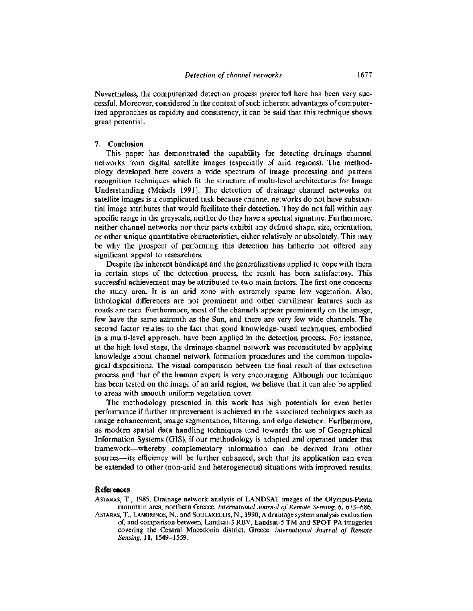Nevertheless, the computerized detection process presented here has been very successful. Moreover, considered in the context of such inherent advantages of computerized approaches as rapidity and consistency, it can be said that this technique shows great potential.

## 7. **Conclusion**

This paper has demonstrated the capability for detecting drainage channel networks from digital satellite images (especially of arid regions). The methodology developed here covers a wide spectrum of image processing and pattern recognition techniques which fit the structure of multi-level architectures for Image Understanding (Meisels 1991). The detection of drainage channel networks on satellite images is a complicated task because channel networks do not have substantial image attributes that would facilitate their detection. They do not fall within any specific range in the greyscale, neither do they have a spectral signature. Furthermore, neither channel networks nor their parts exhibit any defined shape, size, orientation, or other unique quantitative characteristics, either relatively or absolutely. This may be why the prospect of performing this detection has hitherto not offered any significant appeal to researchers.

Despite the inherent handicaps and the generalizations applied to cope with them in certain steps of the detection process, the result has been satisfactory. This successful achievement may be attributed to two main factors. The first one concerns the study area. It is an arid zone with extremely sparse low vegetation. Also, lithological differences are not prominent and other curvilinear features such as roads are rare. Furthermore, most of the channels appear prominently on the image, few have the same azimuth as the Sun, and there are very few wide channels. The second factor relates to the fact that good knowledge-based techniques, embodied in a multi-level approach, have been applied in the detection process. For instance, at the high level stage, the drainage channel network was reconstituted by applying knowledge about channel network formation procedures and the common topological dispositions. The visual comparison between the final result of this extraction process and that of the human expert is very encouraging. Although our technique has been' tested on the image of an arid region, we believe that it can also be applied to areas with smooth uniform vegetation cover.

The methodology presented in this work has high potentials for even better performance if further improvement is achieved in the associated techniques such as image enhancement, image segmentation, filtering, and edge detection. Furthermore, as modern spatial data handling techniques tend towards the use of Geographical Information Systems (GIS), if our methodology is adapted and operated under this framework-whereby complementary information can be derived from other sources-its efficiency will be further enhanced, such that its application can even be extended to other (non-arid and heterogeneous) situations with improved results.

### References

ASTARAS, T., 1985, Drainage network analysis of LANDSAT images of the Olympus-Pieria mountain area, northern Greece. *International Journal of Remote Sensing,* 6, 673-686. ASTARAS, T., LAMBRINOS, N., and SOULAKELLIS, N., 1990, Adrainage system analysisevaluation of, and comparison between, Landsat-3 RBV, Landsat-5 TM and SPOT PA imageries covering the Central Macedonia district, Greece. *International Journal of Remote Sensing,* **11,** 1549-1559.